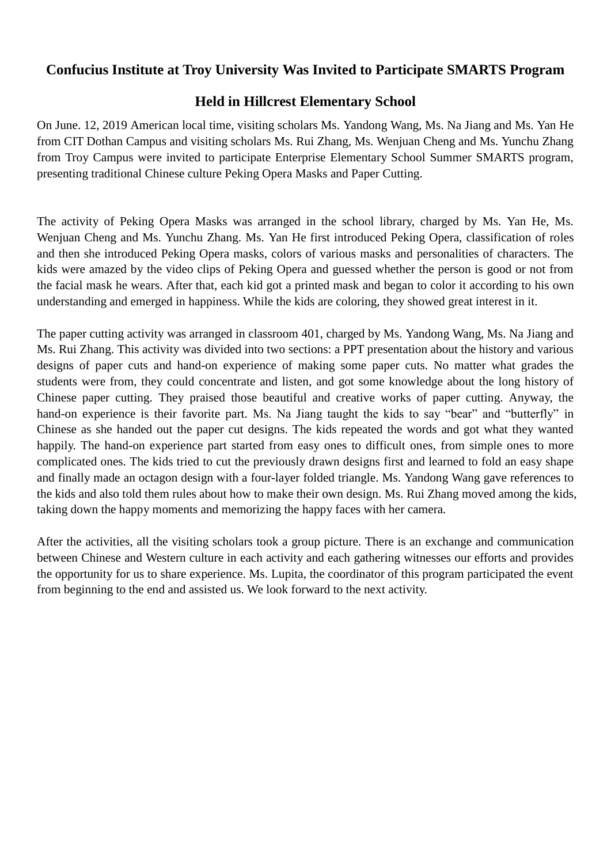## **Confucius Institute at Troy University Was Invited to Participate SMARTS Program**

## **Held in Hillcrest Elementary School**

On June. 12, 2019 American local time, visiting scholars Ms. Yandong Wang, Ms. Na Jiang and Ms. Yan He from CIT Dothan Campus and visiting scholars Ms. Rui Zhang, Ms. Wenjuan Cheng and Ms. Yunchu Zhang from Troy Campus were invited to participate Enterprise Elementary School Summer SMARTS program, presenting traditional Chinese culture Peking Opera Masks and Paper Cutting.

The activity of Peking Opera Masks was arranged in the school library, charged by Ms. Yan He, Ms. Wenjuan Cheng and Ms. Yunchu Zhang. Ms. Yan He first introduced Peking Opera, classification of roles and then she introduced Peking Opera masks, colors of various masks and personalities of characters. The kids were amazed by the video clips of Peking Opera and guessed whether the person is good or not from the facial mask he wears. After that, each kid got a printed mask and began to color it according to his own understanding and emerged in happiness. While the kids are coloring, they showed great interest in it.

The paper cutting activity was arranged in classroom 401, charged by Ms. Yandong Wang, Ms. Na Jiang and Ms. Rui Zhang. This activity was divided into two sections: a PPT presentation about the history and various designs of paper cuts and hand-on experience of making some paper cuts. No matter what grades the students were from, they could concentrate and listen, and got some knowledge about the long history of Chinese paper cutting. They praised those beautiful and creative works of paper cutting. Anyway, the hand-on experience is their favorite part. Ms. Na Jiang taught the kids to say "bear" and "butterfly" in Chinese as she handed out the paper cut designs. The kids repeated the words and got what they wanted happily. The hand-on experience part started from easy ones to difficult ones, from simple ones to more complicated ones. The kids tried to cut the previously drawn designs first and learned to fold an easy shape and finally made an octagon design with a four-layer folded triangle. Ms. Yandong Wang gave references to the kids and also told them rules about how to make their own design. Ms. Rui Zhang moved among the kids, taking down the happy moments and memorizing the happy faces with her camera.

After the activities, all the visiting scholars took a group picture. There is an exchange and communication between Chinese and Western culture in each activity and each gathering witnesses our efforts and provides the opportunity for us to share experience. Ms. Lupita, the coordinator of this program participated the event from beginning to the end and assisted us. We look forward to the next activity.